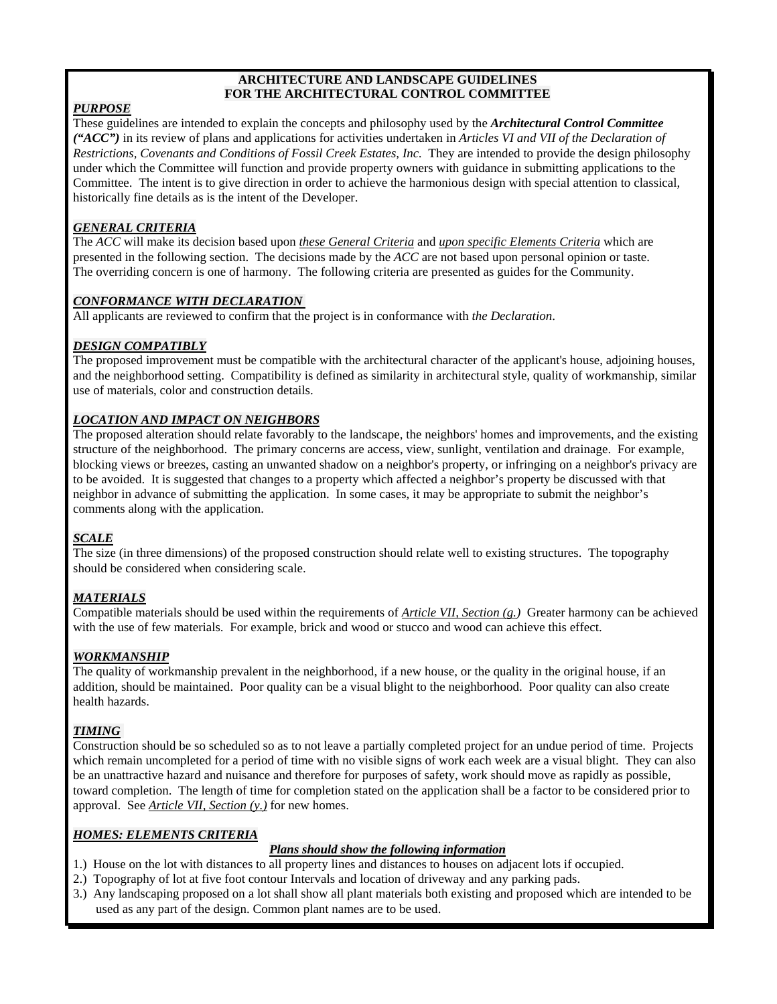### **ARCHITECTURE AND LANDSCAPE GUIDELINES FOR THE ARCHITECTURAL CONTROL COMMITTEE**

# *PURPOSE*

These guidelines are intended to explain the concepts and philosophy used by the *Architectural Control Committee ("ACC")* in its review of plans and applications for activities undertaken in *Articles VI and VII of the Declaration of Restrictions, Covenants and Conditions of Fossil Creek Estates, Inc.* They are intended to provide the design philosophy under which the Committee will function and provide property owners with guidance in submitting applications to the Committee. The intent is to give direction in order to achieve the harmonious design with special attention to classical, historically fine details as is the intent of the Developer.

# *GENERAL CRITERIA*

The *ACC* will make its decision based upon *these General Criteria* and *upon specific Elements Criteria* which are presented in the following section. The decisions made by the *ACC* are not based upon personal opinion or taste. The overriding concern is one of harmony. The following criteria are presented as guides for the Community.

# *CONFORMANCE WITH DECLARATION*

All applicants are reviewed to confirm that the project is in conformance with *the Declaration*.

# *DESIGN COMPATIBLY*

The proposed improvement must be compatible with the architectural character of the applicant's house, adjoining houses, and the neighborhood setting. Compatibility is defined as similarity in architectural style, quality of workmanship, similar use of materials, color and construction details.

# *LOCATION AND IMPACT ON NEIGHBORS*

The proposed alteration should relate favorably to the landscape, the neighbors' homes and improvements, and the existing structure of the neighborhood. The primary concerns are access, view, sunlight, ventilation and drainage. For example, blocking views or breezes, casting an unwanted shadow on a neighbor's property, or infringing on a neighbor's privacy are to be avoided. It is suggested that changes to a property which affected a neighbor's property be discussed with that neighbor in advance of submitting the application. In some cases, it may be appropriate to submit the neighbor's comments along with the application.

## *SCALE*

The size (in three dimensions) of the proposed construction should relate well to existing structures. The topography should be considered when considering scale.

# *MATERIALS*

Compatible materials should be used within the requirements of *Article VII, Section (g.)* Greater harmony can be achieved with the use of few materials. For example, brick and wood or stucco and wood can achieve this effect.

## *WORKMANSHIP*

The quality of workmanship prevalent in the neighborhood, if a new house, or the quality in the original house, if an addition, should be maintained. Poor quality can be a visual blight to the neighborhood. Poor quality can also create health hazards.

# *TIMING*

Construction should be so scheduled so as to not leave a partially completed project for an undue period of time. Projects which remain uncompleted for a period of time with no visible signs of work each week are a visual blight. They can also be an unattractive hazard and nuisance and therefore for purposes of safety, work should move as rapidly as possible, toward completion. The length of time for completion stated on the application shall be a factor to be considered prior to approval. See *Article VII, Section (y.)* for new homes.

## *HOMES: ELEMENTS CRITERIA*

# *Plans should show the following information*

- 1.) House on the lot with distances to all property lines and distances to houses on adjacent lots if occupied.
- 2.) Topography of lot at five foot contour Intervals and location of driveway and any parking pads.
- 3.) Any landscaping proposed on a lot shall show all plant materials both existing and proposed which are intended to be used as any part of the design. Common plant names are to be used.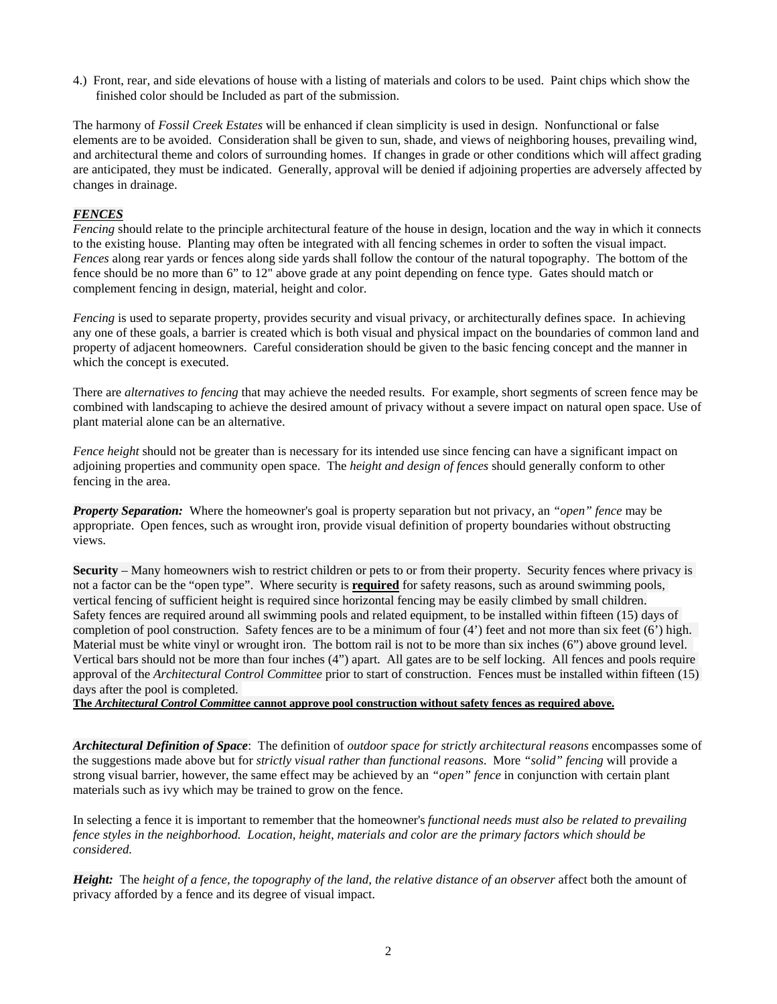4.) Front, rear, and side elevations of house with a listing of materials and colors to be used. Paint chips which show the finished color should be Included as part of the submission.

The harmony of *Fossil Creek Estates* will be enhanced if clean simplicity is used in design. Nonfunctional or false elements are to be avoided. Consideration shall be given to sun, shade, and views of neighboring houses, prevailing wind, and architectural theme and colors of surrounding homes. If changes in grade or other conditions which will affect grading are anticipated, they must be indicated. Generally, approval will be denied if adjoining properties are adversely affected by changes in drainage.

### *FENCES*

*Fencing* should relate to the principle architectural feature of the house in design, location and the way in which it connects to the existing house. Planting may often be integrated with all fencing schemes in order to soften the visual impact. *Fences* along rear yards or fences along side yards shall follow the contour of the natural topography. The bottom of the fence should be no more than 6" to 12" above grade at any point depending on fence type. Gates should match or complement fencing in design, material, height and color.

*Fencing* is used to separate property, provides security and visual privacy, or architecturally defines space. In achieving any one of these goals, a barrier is created which is both visual and physical impact on the boundaries of common land and property of adjacent homeowners. Careful consideration should be given to the basic fencing concept and the manner in which the concept is executed.

There are *alternatives to fencing* that may achieve the needed results. For example, short segments of screen fence may be combined with landscaping to achieve the desired amount of privacy without a severe impact on natural open space. Use of plant material alone can be an alternative.

*Fence height* should not be greater than is necessary for its intended use since fencing can have a significant impact on adjoining properties and community open space. The *height and design of fences* should generally conform to other fencing in the area.

*Property Separation:* Where the homeowner's goal is property separation but not privacy, an *"open" fence* may be appropriate. Open fences, such as wrought iron, provide visual definition of property boundaries without obstructing views.

**Security** – Many homeowners wish to restrict children or pets to or from their property. Security fences where privacy is not a factor can be the "open type". Where security is **required** for safety reasons, such as around swimming pools, vertical fencing of sufficient height is required since horizontal fencing may be easily climbed by small children. Safety fences are required around all swimming pools and related equipment, to be installed within fifteen (15) days of completion of pool construction. Safety fences are to be a minimum of four  $(4')$  feet and not more than six feet  $(6')$  high. Material must be white vinyl or wrought iron. The bottom rail is not to be more than six inches (6") above ground level. Vertical bars should not be more than four inches (4") apart. All gates are to be self locking. All fences and pools require approval of the *Architectural Control Committee* prior to start of construction. Fences must be installed within fifteen (15) days after the pool is completed.

**The** *Architectural Control Committee* **cannot approve pool construction without safety fences as required above.**

*Architectural Definition of Space*: The definition of *outdoor space for strictly architectural reasons* encompasses some of the suggestions made above but for *strictly visual rather than functional reasons*. More *"solid" fencing* will provide a strong visual barrier, however, the same effect may be achieved by an *"open" fence* in conjunction with certain plant materials such as ivy which may be trained to grow on the fence.

In selecting a fence it is important to remember that the homeowner's *functional needs must also be related to prevailing fence styles in the neighborhood. Location, height, materials and color are the primary factors which should be considered.*

*Height:* The *height of a fence, the topography of the land, the relative distance of an observer* affect both the amount of privacy afforded by a fence and its degree of visual impact.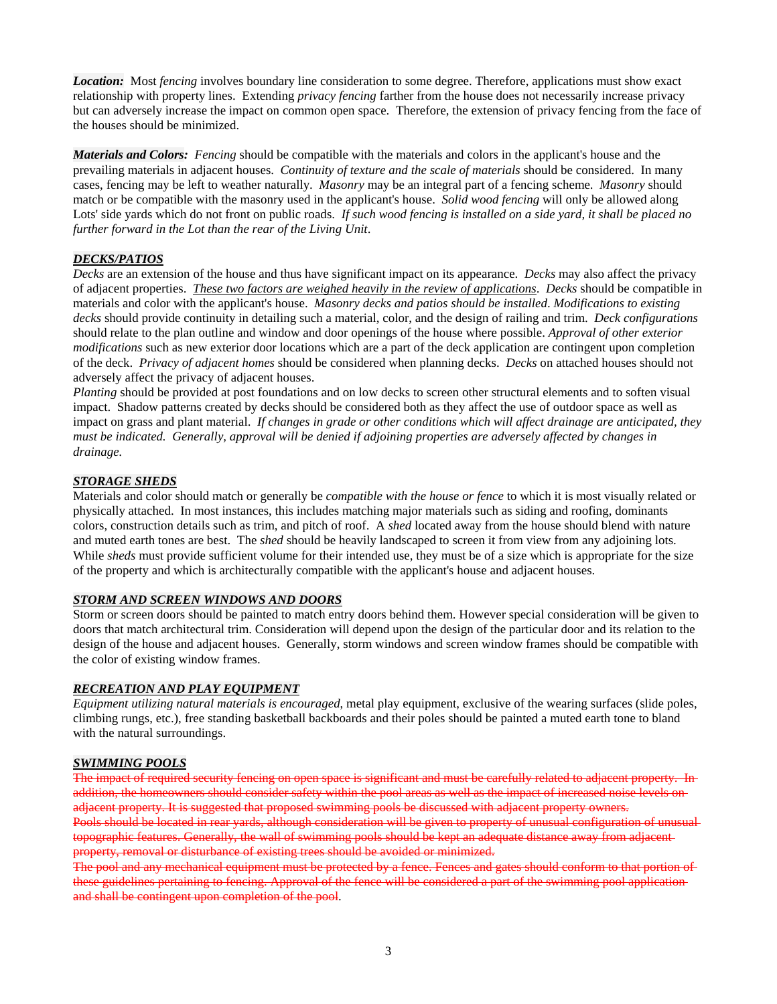*Location:* Most *fencing* involves boundary line consideration to some degree. Therefore, applications must show exact relationship with property lines. Extending *privacy fencing* farther from the house does not necessarily increase privacy but can adversely increase the impact on common open space. Therefore, the extension of privacy fencing from the face of the houses should be minimized.

*Materials and Colors: Fencing* should be compatible with the materials and colors in the applicant's house and the prevailing materials in adjacent houses. *Continuity of texture and the scale of materials* should be considered. In many cases, fencing may be left to weather naturally. *Masonry* may be an integral part of a fencing scheme. *Masonry* should match or be compatible with the masonry used in the applicant's house. *Solid wood fencing* will only be allowed along Lots' side yards which do not front on public roads. *If such wood fencing is installed on a side yard, it shall be placed no further forward in the Lot than the rear of the Living Unit*.

### *DECKS/PATIOS*

*Decks* are an extension of the house and thus have significant impact on its appearance. *Decks* may also affect the privacy of adjacent properties. *These two factors are weighed heavily in the review of applications*. *Decks* should be compatible in materials and color with the applicant's house. *Masonry decks and patios should be installed*. *Modifications to existing decks* should provide continuity in detailing such a material, color, and the design of railing and trim. *Deck configurations* should relate to the plan outline and window and door openings of the house where possible. *Approval of other exterior modifications* such as new exterior door locations which are a part of the deck application are contingent upon completion of the deck. *Privacy of adjacent homes* should be considered when planning decks. *Decks* on attached houses should not adversely affect the privacy of adjacent houses.

*Planting* should be provided at post foundations and on low decks to screen other structural elements and to soften visual impact. Shadow patterns created by decks should be considered both as they affect the use of outdoor space as well as impact on grass and plant material. *If changes in grade or other conditions which will affect drainage are anticipated, they must be indicated. Generally, approval will be denied if adjoining properties are adversely affected by changes in drainage.* 

### *STORAGE SHEDS*

Materials and color should match or generally be *compatible with the house or fence* to which it is most visually related or physically attached. In most instances, this includes matching major materials such as siding and roofing, dominants colors, construction details such as trim, and pitch of roof. A *shed* located away from the house should blend with nature and muted earth tones are best. The *shed* should be heavily landscaped to screen it from view from any adjoining lots. While *sheds* must provide sufficient volume for their intended use, they must be of a size which is appropriate for the size of the property and which is architecturally compatible with the applicant's house and adjacent houses.

### *STORM AND SCREEN WINDOWS AND DOORS*

Storm or screen doors should be painted to match entry doors behind them. However special consideration will be given to doors that match architectural trim. Consideration will depend upon the design of the particular door and its relation to the design of the house and adjacent houses. Generally, storm windows and screen window frames should be compatible with the color of existing window frames.

### *RECREATION AND PLAY EQUIPMENT*

*Equipment utilizing natural materials is encouraged*, metal play equipment, exclusive of the wearing surfaces (slide poles, climbing rungs, etc.), free standing basketball backboards and their poles should be painted a muted earth tone to bland with the natural surroundings.

### *SWIMMING POOLS*

The impact of required security fencing on open space is significant and must be carefully related to adjacent propert addition, the homeowners should consider safety within the pool areas as well as the impact of increased noise levels on adjacent property. It is suggested that proposed swimming pools be discussed with adjacent property owners. Pools should be located in rear yards, although consideration will be given to property of unusual configuration of unusual

topographic features. Generally, the wall of swimming pools should be kept an adequate distance away from adjacent property, removal or disturbance of existing trees should be avoided or minimized.

The pool and any mechanical equipment must be protected by a fence. Fences and gates should conform to that portion of these guidelines pertaining to fencing. Approval of the fence will be considered a part of the swimming pool application and shall be contingent upon completion of the pool.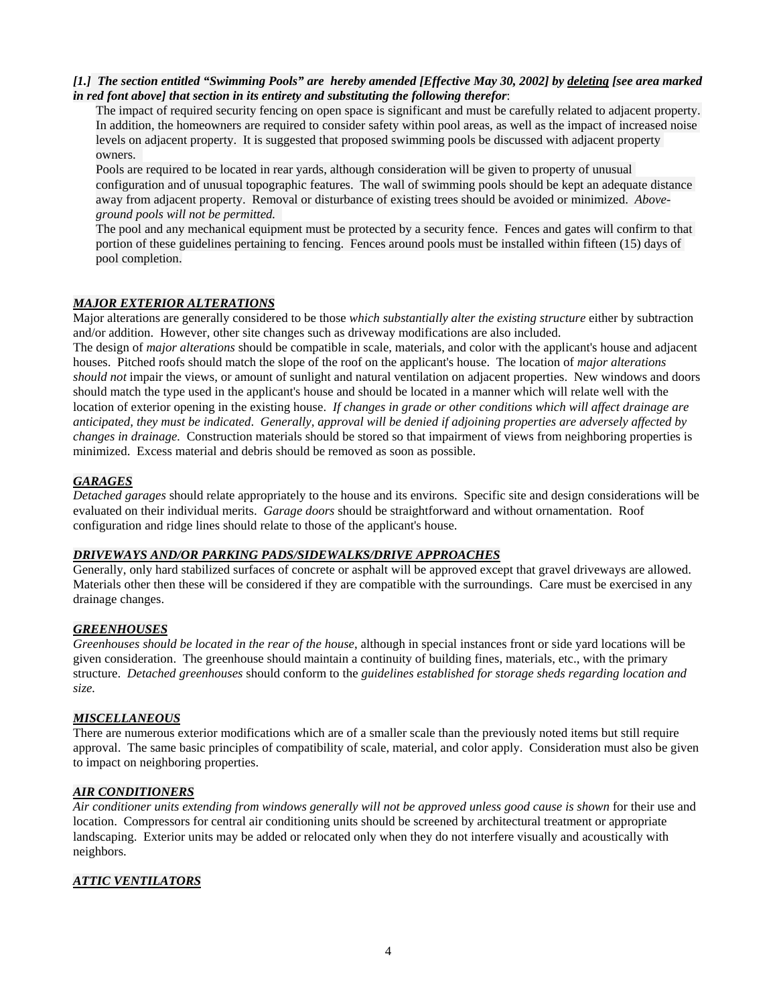### *[1.] The section entitled "Swimming Pools" are hereby amended [Effective May 30, 2002] by deleting [see area marked in red font above] that section in its entirety and substituting the following therefor*:

The impact of required security fencing on open space is significant and must be carefully related to adjacent property. In addition, the homeowners are required to consider safety within pool areas, as well as the impact of increased noise levels on adjacent property. It is suggested that proposed swimming pools be discussed with adjacent property owners.

Pools are required to be located in rear yards, although consideration will be given to property of unusual configuration and of unusual topographic features. The wall of swimming pools should be kept an adequate distance away from adjacent property. Removal or disturbance of existing trees should be avoided or minimized. *Aboveground pools will not be permitted.* 

The pool and any mechanical equipment must be protected by a security fence. Fences and gates will confirm to that portion of these guidelines pertaining to fencing. Fences around pools must be installed within fifteen (15) days of pool completion.

### *MAJOR EXTERIOR ALTERATIONS*

Major alterations are generally considered to be those *which substantially alter the existing structure* either by subtraction and/or addition. However, other site changes such as driveway modifications are also included.

The design of *major alterations* should be compatible in scale, materials, and color with the applicant's house and adjacent houses. Pitched roofs should match the slope of the roof on the applicant's house. The location of *major alterations should not* impair the views, or amount of sunlight and natural ventilation on adjacent properties. New windows and doors should match the type used in the applicant's house and should be located in a manner which will relate well with the location of exterior opening in the existing house. *If changes in grade or other conditions which will affect drainage are anticipated, they must be indicated*. *Generally, approval will be denied if adjoining properties are adversely affected by changes in drainage.* Construction materials should be stored so that impairment of views from neighboring properties is minimized. Excess material and debris should be removed as soon as possible.

## *GARAGES*

*Detached garages* should relate appropriately to the house and its environs. Specific site and design considerations will be evaluated on their individual merits. *Garage doors* should be straightforward and without ornamentation. Roof configuration and ridge lines should relate to those of the applicant's house.

## *DRIVEWAYS AND/OR PARKING PADS/SIDEWALKS/DRIVE APPROACHES*

Generally, only hard stabilized surfaces of concrete or asphalt will be approved except that gravel driveways are allowed. Materials other then these will be considered if they are compatible with the surroundings. Care must be exercised in any drainage changes.

### *GREENHOUSES*

*Greenhouses should be located in the rear of the house*, although in special instances front or side yard locations will be given consideration. The greenhouse should maintain a continuity of building fines, materials, etc., with the primary structure. *Detached greenhouses* should conform to the *guidelines established for storage sheds regarding location and size.* 

## *MISCELLANEOUS*

There are numerous exterior modifications which are of a smaller scale than the previously noted items but still require approval. The same basic principles of compatibility of scale, material, and color apply. Consideration must also be given to impact on neighboring properties.

### *AIR CONDITIONERS*

*Air conditioner units extending from windows generally will not be approved unless good cause is shown* for their use and location. Compressors for central air conditioning units should be screened by architectural treatment or appropriate landscaping. Exterior units may be added or relocated only when they do not interfere visually and acoustically with neighbors.

## *ATTIC VENTILATORS*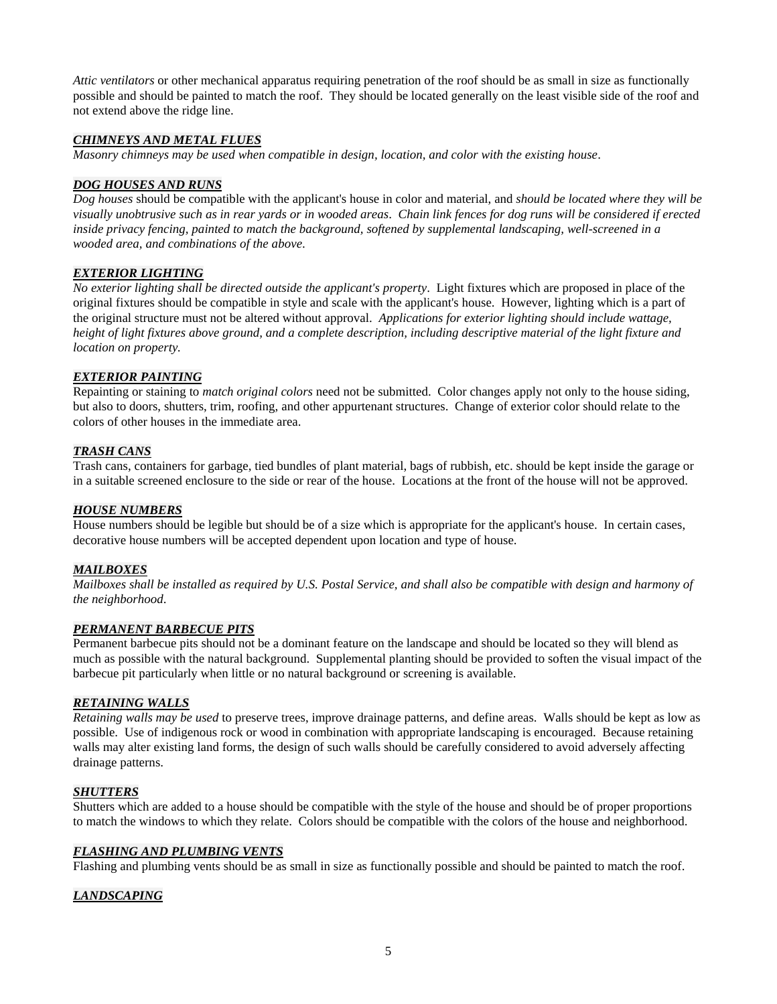*Attic ventilators* or other mechanical apparatus requiring penetration of the roof should be as small in size as functionally possible and should be painted to match the roof. They should be located generally on the least visible side of the roof and not extend above the ridge line.

### *CHIMNEYS AND METAL FLUES*

*Masonry chimneys may be used when compatible in design, location, and color with the existing house*.

### *DOG HOUSES AND RUNS*

*Dog houses* should be compatible with the applicant's house in color and material, and *should be located where they will be visually unobtrusive such as in rear yards or in wooded areas*. *Chain link fences for dog runs will be considered if erected inside privacy fencing, painted to match the background, softened by supplemental landscaping, well-screened in a wooded area, and combinations of the above*.

### *EXTERIOR LIGHTING*

*No exterior lighting shall be directed outside the applicant's property*. Light fixtures which are proposed in place of the original fixtures should be compatible in style and scale with the applicant's house. However, lighting which is a part of the original structure must not be altered without approval. *Applications for exterior lighting should include wattage, height of light fixtures above ground, and a complete description, including descriptive material of the light fixture and location on property.* 

### *EXTERIOR PAINTING*

Repainting or staining to *match original colors* need not be submitted. Color changes apply not only to the house siding, but also to doors, shutters, trim, roofing, and other appurtenant structures. Change of exterior color should relate to the colors of other houses in the immediate area.

### *TRASH CANS*

Trash cans, containers for garbage, tied bundles of plant material, bags of rubbish, etc. should be kept inside the garage or in a suitable screened enclosure to the side or rear of the house. Locations at the front of the house will not be approved.

### *HOUSE NUMBERS*

House numbers should be legible but should be of a size which is appropriate for the applicant's house. In certain cases, decorative house numbers will be accepted dependent upon location and type of house.

### *MAILBOXES*

*Mailboxes shall be installed as required by U.S. Postal Service, and shall also be compatible with design and harmony of the neighborhood*.

### *PERMANENT BARBECUE PITS*

Permanent barbecue pits should not be a dominant feature on the landscape and should be located so they will blend as much as possible with the natural background. Supplemental planting should be provided to soften the visual impact of the barbecue pit particularly when little or no natural background or screening is available.

### *RETAINING WALLS*

*Retaining walls may be used* to preserve trees, improve drainage patterns, and define areas. Walls should be kept as low as possible. Use of indigenous rock or wood in combination with appropriate landscaping is encouraged. Because retaining walls may alter existing land forms, the design of such walls should be carefully considered to avoid adversely affecting drainage patterns.

### *SHUTTERS*

Shutters which are added to a house should be compatible with the style of the house and should be of proper proportions to match the windows to which they relate. Colors should be compatible with the colors of the house and neighborhood.

### *FLASHING AND PLUMBING VENTS*

Flashing and plumbing vents should be as small in size as functionally possible and should be painted to match the roof.

### *LANDSCAPING*